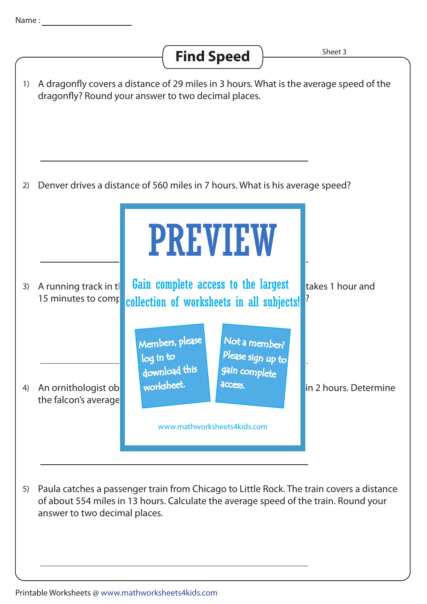

of about 554 miles in 13 hours. Calculate the average speed of the train. Round your answer to two decimal places.